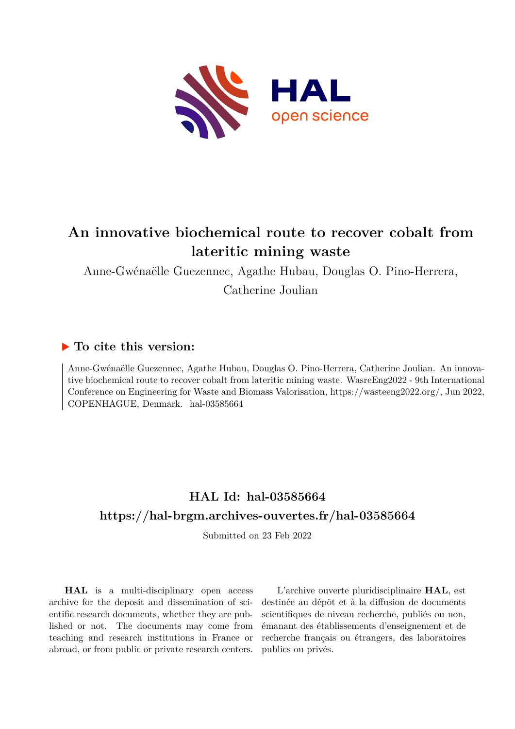

# **An innovative biochemical route to recover cobalt from lateritic mining waste**

Anne-Gwénaëlle Guezennec, Agathe Hubau, Douglas O. Pino-Herrera, Catherine Joulian

# **To cite this version:**

Anne-Gwénaëlle Guezennec, Agathe Hubau, Douglas O. Pino-Herrera, Catherine Joulian. An innovative biochemical route to recover cobalt from lateritic mining waste. WasreEng2022 - 9th International Conference on Engineering for Waste and Biomass Valorisation, https://wasteeng2022.org/, Jun 2022, COPENHAGUE, Denmark. hal-03585664

# **HAL Id: hal-03585664 <https://hal-brgm.archives-ouvertes.fr/hal-03585664>**

Submitted on 23 Feb 2022

**HAL** is a multi-disciplinary open access archive for the deposit and dissemination of scientific research documents, whether they are published or not. The documents may come from teaching and research institutions in France or abroad, or from public or private research centers.

L'archive ouverte pluridisciplinaire **HAL**, est destinée au dépôt et à la diffusion de documents scientifiques de niveau recherche, publiés ou non, émanant des établissements d'enseignement et de recherche français ou étrangers, des laboratoires publics ou privés.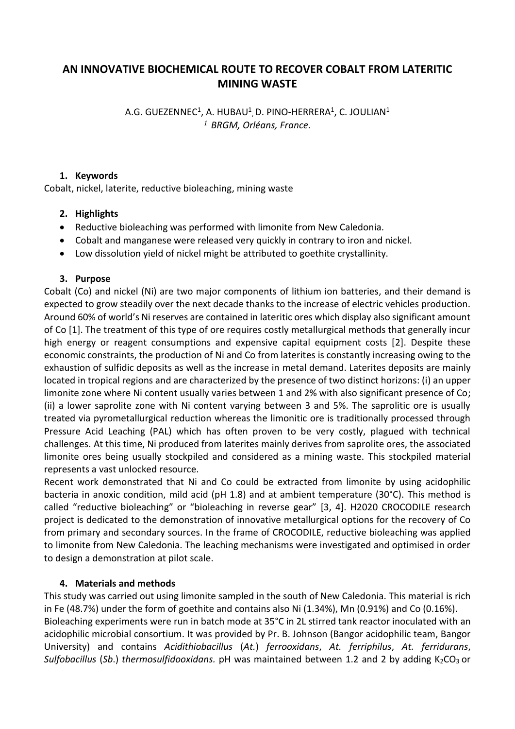# **AN INNOVATIVE BIOCHEMICAL ROUTE TO RECOVER COBALT FROM LATERITIC MINING WASTE**

A.G. GUEZENNEC $^1$ , A. HUBAU $^1$ , D. PINO-HERRERA $^1$ , C. JOULIAN $^1$ *<sup>1</sup> BRGM, Orléans, France.*

#### **1. Keywords**

Cobalt, nickel, laterite, reductive bioleaching, mining waste

#### **2. Highlights**

- Reductive bioleaching was performed with limonite from New Caledonia.
- Cobalt and manganese were released very quickly in contrary to iron and nickel.
- Low dissolution yield of nickel might be attributed to goethite crystallinity.

#### **3. Purpose**

Cobalt (Co) and nickel (Ni) are two major components of lithium ion batteries, and their demand is expected to grow steadily over the next decade thanks to the increase of electric vehicles production. Around 60% of world's Ni reserves are contained in lateritic ores which display also significant amount of Co [1]. The treatment of this type of ore requires costly metallurgical methods that generally incur high energy or reagent consumptions and expensive capital equipment costs [2]. Despite these economic constraints, the production of Ni and Co from laterites is constantly increasing owing to the exhaustion of sulfidic deposits as well as the increase in metal demand. Laterites deposits are mainly located in tropical regions and are characterized by the presence of two distinct horizons: (i) an upper limonite zone where Ni content usually varies between 1 and 2% with also significant presence of Co; (ii) a lower saprolite zone with Ni content varying between 3 and 5%. The saprolitic ore is usually treated via pyrometallurgical reduction whereas the limonitic ore is traditionally processed through Pressure Acid Leaching (PAL) which has often proven to be very costly, plagued with technical challenges. At this time, Ni produced from laterites mainly derives from saprolite ores, the associated limonite ores being usually stockpiled and considered as a mining waste. This stockpiled material represents a vast unlocked resource.

Recent work demonstrated that Ni and Co could be extracted from limonite by using acidophilic bacteria in anoxic condition, mild acid (pH 1.8) and at ambient temperature (30°C). This method is called "reductive bioleaching" or "bioleaching in reverse gear" [3, 4]. H2020 CROCODILE research project is dedicated to the demonstration of innovative metallurgical options for the recovery of Co from primary and secondary sources. In the frame of CROCODILE, reductive bioleaching was applied to limonite from New Caledonia. The leaching mechanisms were investigated and optimised in order to design a demonstration at pilot scale.

### **4. Materials and methods**

This study was carried out using limonite sampled in the south of New Caledonia. This material is rich in Fe (48.7%) under the form of goethite and contains also Ni (1.34%), Mn (0.91%) and Co (0.16%). Bioleaching experiments were run in batch mode at 35°C in 2L stirred tank reactor inoculated with an acidophilic microbial consortium. It was provided by Pr. B. Johnson (Bangor acidophilic team, Bangor University) and contains *Acidithiobacillus* (*At.*) *ferrooxidans*, *At. ferriphilus*, *At. ferridurans*, *Sulfobacillus* (*Sb.*) *thermosulfidooxidans.* pH was maintained between 1.2 and 2 by adding K<sub>2</sub>CO<sub>3</sub> or